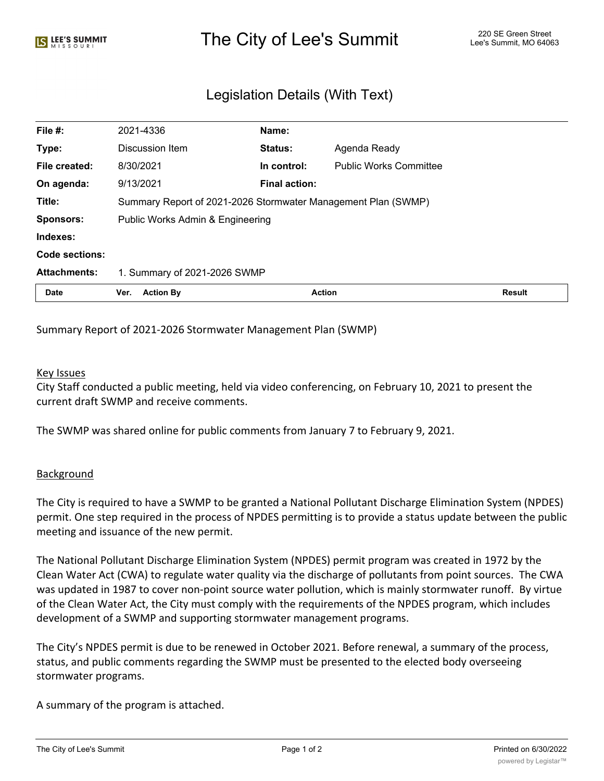## The City of Lee's Summit The City of Lee's Summit 220 SE Green Street

## Legislation Details (With Text)

| File #:             | 2021-4336                                                     | Name:                |                               |               |
|---------------------|---------------------------------------------------------------|----------------------|-------------------------------|---------------|
| Type:               | Discussion Item                                               | Status:              | Agenda Ready                  |               |
| File created:       | 8/30/2021                                                     | In control:          | <b>Public Works Committee</b> |               |
| On agenda:          | 9/13/2021                                                     | <b>Final action:</b> |                               |               |
| Title:              | Summary Report of 2021-2026 Stormwater Management Plan (SWMP) |                      |                               |               |
| <b>Sponsors:</b>    | Public Works Admin & Engineering                              |                      |                               |               |
| Indexes:            |                                                               |                      |                               |               |
| Code sections:      |                                                               |                      |                               |               |
| <b>Attachments:</b> | 1. Summary of 2021-2026 SWMP                                  |                      |                               |               |
| Date                | <b>Action By</b><br>Ver.                                      | <b>Action</b>        |                               | <b>Result</b> |

Summary Report of 2021-2026 Stormwater Management Plan (SWMP)

## Key Issues

City Staff conducted a public meeting, held via video conferencing, on February 10, 2021 to present the current draft SWMP and receive comments.

The SWMP was shared online for public comments from January 7 to February 9, 2021.

## **Background**

The City is required to have a SWMP to be granted a National Pollutant Discharge Elimination System (NPDES) permit. One step required in the process of NPDES permitting is to provide a status update between the public meeting and issuance of the new permit.

The National Pollutant Discharge Elimination System (NPDES) permit program was created in 1972 by the Clean Water Act (CWA) to regulate water quality via the discharge of pollutants from point sources. The CWA was updated in 1987 to cover non-point source water pollution, which is mainly stormwater runoff. By virtue of the Clean Water Act, the City must comply with the requirements of the NPDES program, which includes development of a SWMP and supporting stormwater management programs.

The City's NPDES permit is due to be renewed in October 2021. Before renewal, a summary of the process, status, and public comments regarding the SWMP must be presented to the elected body overseeing stormwater programs.

A summary of the program is attached.